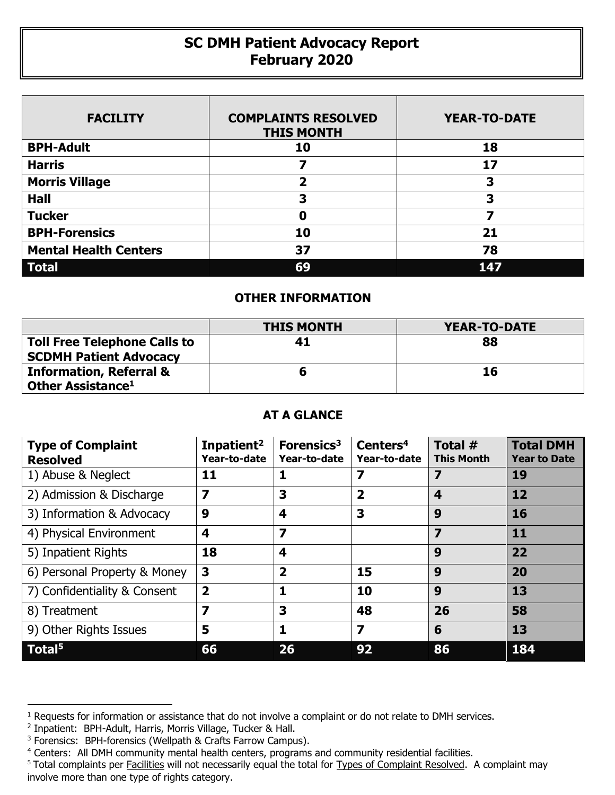## **SC DMH Patient Advocacy Report February 2020**

| <b>FACILITY</b>              | <b>COMPLAINTS RESOLVED</b><br><b>THIS MONTH</b> | <b>YEAR-TO-DATE</b> |
|------------------------------|-------------------------------------------------|---------------------|
| <b>BPH-Adult</b>             | 10                                              | 18                  |
| <b>Harris</b>                |                                                 | 17                  |
| <b>Morris Village</b>        | 2                                               | 3                   |
| <b>Hall</b>                  | 3                                               | 3                   |
| <b>Tucker</b>                | 0                                               |                     |
| <b>BPH-Forensics</b>         | 10                                              | 21                  |
| <b>Mental Health Centers</b> | 37                                              | 78                  |
| <b>Total</b>                 | 69                                              | 147                 |

## **OTHER INFORMATION**

|                                     | <b>THIS MONTH</b> | YEAR-TO-DATE |
|-------------------------------------|-------------------|--------------|
| <b>Toll Free Telephone Calls to</b> | 41                | 88           |
| <b>SCDMH Patient Advocacy</b>       |                   |              |
| <b>Information, Referral &amp;</b>  |                   | 16           |
| Other Assistance <sup>1</sup>       |                   |              |

## **AT A GLANCE**

| <b>Type of Complaint</b><br><b>Resolved</b> | Inpatient <sup>2</sup><br>Year-to-date | Forensics <sup>3</sup><br>Year-to-date | Centers <sup>4</sup><br>Year-to-date | Total #<br><b>This Month</b> | <b>Total DMH</b><br><b>Year to Date</b> |
|---------------------------------------------|----------------------------------------|----------------------------------------|--------------------------------------|------------------------------|-----------------------------------------|
| 1) Abuse & Neglect                          | 11                                     | 1                                      | 7                                    | 7                            | 19                                      |
| 2) Admission & Discharge                    | 7                                      | 3                                      | $\overline{\mathbf{2}}$              | 4                            | 12                                      |
| 3) Information & Advocacy                   | 9                                      | 4                                      | 3                                    | 9                            | 16                                      |
| 4) Physical Environment                     | 4                                      | $\overline{\mathbf{z}}$                |                                      | 7                            | 11                                      |
| 5) Inpatient Rights                         | 18                                     | 4                                      |                                      | 9                            | 22                                      |
| 6) Personal Property & Money                | 3                                      | $\overline{\mathbf{2}}$                | 15                                   | 9                            | 20                                      |
| 7) Confidentiality & Consent                | $\overline{\mathbf{2}}$                | 1                                      | 10                                   | 9                            | 13                                      |
| 8) Treatment                                | 7                                      | 3                                      | 48                                   | 26                           | 58                                      |
| 9) Other Rights Issues                      | 5                                      | 1                                      | $\overline{\mathbf{z}}$              | 6                            | 13                                      |
| Total <sup>5</sup>                          | 66                                     | 26                                     | 92                                   | 86                           | 184                                     |

 $\overline{a}$ 

<sup>&</sup>lt;sup>1</sup> Requests for information or assistance that do not involve a complaint or do not relate to DMH services.

<sup>2</sup> Inpatient: BPH-Adult, Harris, Morris Village, Tucker & Hall.

<sup>&</sup>lt;sup>3</sup> Forensics: BPH-forensics (Wellpath & Crafts Farrow Campus).

<sup>&</sup>lt;sup>4</sup> Centers: All DMH community mental health centers, programs and community residential facilities.

<sup>&</sup>lt;sup>5</sup> Total complaints per Facilities will not necessarily equal the total for Types of Complaint Resolved. A complaint may involve more than one type of rights category.